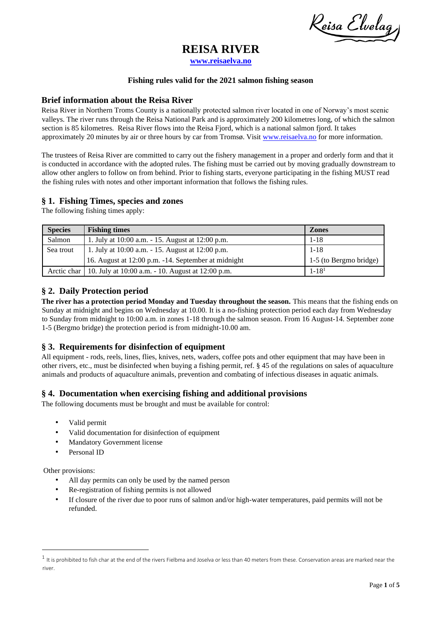Reisa Elvelag

# **REISA RIVER**

**[www.reisaelva.no](http://www.reisaelva.no/)**

### **Fishing rules valid for the 2021 salmon fishing season**

### **Brief information about the Reisa River**

Reisa River in Northern Troms County is a nationally protected salmon river located in one of Norway's most scenic valleys. The river runs through the Reisa National Park and is approximately 200 kilometres long, of which the salmon section is 85 kilometres. Reisa River flows into the Reisa Fjord, which is a national salmon fjord. It takes approximately 20 minutes by air or three hours by car from Tromsø. Visit [www.reisaelva.no](http://www.reisaelva.no/) for more information.

The trustees of Reisa River are committed to carry out the fishery management in a proper and orderly form and that it is conducted in accordance with the adopted rules. The fishing must be carried out by moving gradually downstream to allow other anglers to follow on from behind. Prior to fishing starts, everyone participating in the fishing MUST read the fishing rules with notes and other important information that follows the fishing rules.

# **§ 1. Fishing Times, species and zones**

The following fishing times apply:

| <b>Species</b> | <b>Fishing times</b>                                            | <b>Zones</b>           |
|----------------|-----------------------------------------------------------------|------------------------|
| Salmon         | 1. July at 10:00 a.m. - 15. August at 12:00 p.m.                | $1 - 18$               |
| Sea trout      | 1. July at 10:00 a.m. - 15. August at 12:00 p.m.                | $1 - 18$               |
|                | 16. August at 12:00 p.m. -14. September at midnight             | 1-5 (to Bergmo bridge) |
|                | Arctic char   10. July at 10:00 a.m. - 10. August at 12:00 p.m. | $1 - 181$              |

# **§ 2. Daily Protection period**

**The river has a protection period Monday and Tuesday throughout the season.** This means that the fishing ends on Sunday at midnight and begins on Wednesday at 10.00. It is a no-fishing protection period each day from Wednesday to Sunday from midnight to 10:00 a.m. in zones 1-18 through the salmon season. From 16 August-14. September zone 1-5 (Bergmo bridge) the protection period is from midnight-10.00 am.

# **§ 3. Requirements for disinfection of equipment**

All equipment - rods, reels, lines, flies, knives, nets, waders, coffee pots and other equipment that may have been in other rivers, etc., must be disinfected when buying a fishing permit, ref. § 45 of the regulations on sales of aquaculture animals and products of aquaculture animals, prevention and combating of infectious diseases in aquatic animals.

# **§ 4. Documentation when exercising fishing and additional provisions**

The following documents must be brought and must be available for control:

- Valid permit
- Valid documentation for disinfection of equipment
- Mandatory Government license
- Personal ID

Other provisions:

- All day permits can only be used by the named person
- Re-registration of fishing permits is not allowed
- If closure of the river due to poor runs of salmon and/or high-water temperatures, paid permits will not be refunded.

 $^1$  It is prohibited to fish char at the end of the rivers Fielbma and Joselva or less than 40 meters from these. Conservation areas are marked near the river.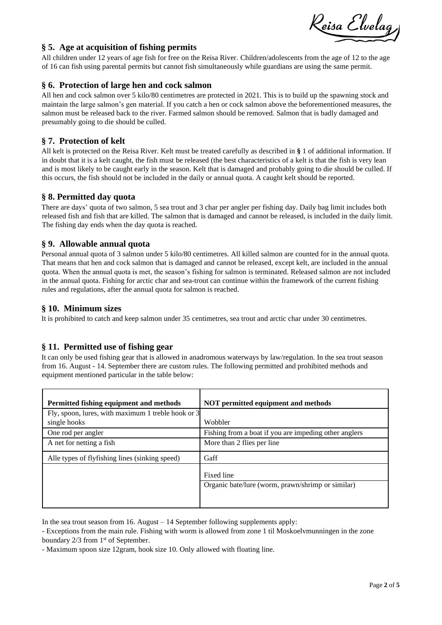Reisa Elvelag

# **§ 5. Age at acquisition of fishing permits**

All children under 12 years of age fish for free on the Reisa River. Children/adolescents from the age of 12 to the age of 16 can fish using parental permits but cannot fish simultaneously while guardians are using the same permit.

# **§ 6. Protection of large hen and cock salmon**

All hen and cock salmon over 5 kilo/80 centimetres are protected in 2021. This is to build up the spawning stock and maintain the large salmon's gen material. If you catch a hen or cock salmon above the beforementioned measures, the salmon must be released back to the river. Farmed salmon should be removed. Salmon that is badly damaged and presumably going to die should be culled.

# **§ 7. Protection of kelt**

All kelt is protected on the Reisa River. Kelt must be treated carefully as described in **§** 1 of additional information. If in doubt that it is a kelt caught, the fish must be released (the best characteristics of a kelt is that the fish is very lean and is most likely to be caught early in the season. Kelt that is damaged and probably going to die should be culled. If this occurs, the fish should not be included in the daily or annual quota. A caught kelt should be reported.

# **§ 8. Permitted day quota**

There are days' quota of two salmon, 5 sea trout and 3 char per angler per fishing day. Daily bag limit includes both released fish and fish that are killed. The salmon that is damaged and cannot be released, is included in the daily limit. The fishing day ends when the day quota is reached.

# **§ 9. Allowable annual quota**

Personal annual quota of 3 salmon under 5 kilo/80 centimetres. All killed salmon are counted for in the annual quota. That means that hen and cock salmon that is damaged and cannot be released, except kelt, are included in the annual quota. When the annual quota is met, the season's fishing for salmon is terminated. Released salmon are not included in the annual quota. Fishing for arctic char and sea-trout can continue within the framework of the current fishing rules and regulations, after the annual quota for salmon is reached.

# **§ 10. Minimum sizes**

It is prohibited to catch and keep salmon under 35 centimetres, sea trout and arctic char under 30 centimetres.

# **§ 11. Permitted use of fishing gear**

It can only be used fishing gear that is allowed in anadromous waterways by law/regulation. In the sea trout season from 16. August - 14. September there are custom rules. The following permitted and prohibited methods and equipment mentioned particular in the table below:

| Permitted fishing equipment and methods                            | NOT permitted equipment and methods                   |  |
|--------------------------------------------------------------------|-------------------------------------------------------|--|
| Fly, spoon, lures, with maximum 1 treble hook or 3<br>single hooks | Wobbler                                               |  |
| One rod per angler                                                 | Fishing from a boat if you are impeding other anglers |  |
| A net for netting a fish                                           | More than 2 flies per line                            |  |
| Alle types of flyfishing lines (sinking speed)                     | Gaff                                                  |  |
|                                                                    | Fixed line                                            |  |
|                                                                    | Organic bate/lure (worm, prawn/shrimp or similar)     |  |
|                                                                    |                                                       |  |

In the sea trout season from 16. August – 14 September following supplements apply:

- Exceptions from the main rule. Fishing with worm is allowed from zone 1 til Moskoelvmunningen in the zone boundary  $2/3$  from  $1<sup>st</sup>$  of September.

- Maximum spoon size 12gram, hook size 10. Only allowed with floating line.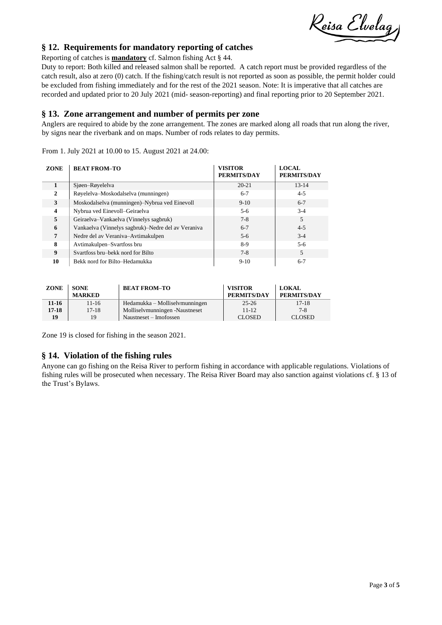Reisa Elvelag

# **§ 12. Requirements for mandatory reporting of catches**

Reporting of catches is **mandatory** cf. Salmon fishing Act § 44.

Duty to report: Both killed and released salmon shall be reported. A catch report must be provided regardless of the catch result, also at zero (0) catch. If the fishing/catch result is not reported as soon as possible, the permit holder could be excluded from fishing immediately and for the rest of the 2021 season. Note: It is imperative that all catches are recorded and updated prior to 20 July 2021 (mid- season-reporting) and final reporting prior to 20 September 2021.

### **§ 13. Zone arrangement and number of permits per zone**

Anglers are required to abide by the zone arrangement. The zones are marked along all roads that run along the river, by signs near the riverbank and on maps. Number of rods relates to day permits.

From 1. July 2021 at 10.00 to 15. August 2021 at 24.00:

| <b>ZONE</b>      | <b>BEAT FROM-TO</b>                                | <b>VISITOR</b><br><b>PERMITS/DAY</b> | <b>LOCAL</b><br><b>PERMITS/DAY</b> |
|------------------|----------------------------------------------------|--------------------------------------|------------------------------------|
| $\mathbf{1}$     | Sjøen-Røyelelva                                    | $20 - 21$                            | $13 - 14$                          |
| 2                | Røyelelva-Moskodalselva (munningen)                | $6 - 7$                              | $4 - 5$                            |
| 3                | Moskodalselva (munningen)–Nybrua ved Einevoll      | $9-10$                               | $6 - 7$                            |
| 4                | Nybrua ved Einevoll-Geiraelva                      | $5-6$                                | $3-4$                              |
| 5                | Geiraelva-Vankaelva (Vinnelys sagbruk)             | $7 - 8$                              | 5                                  |
| 6                | Vankaelva (Vinnelys sagbruk)–Nedre del av Veraniva | $6 - 7$                              | $4 - 5$                            |
| 7                | Nedre del av Veraniva-Avtimakulpen                 | $5-6$                                | $3-4$                              |
| 8                | Avtimakulpen–Svartfoss bru                         | 8-9                                  | $5-6$                              |
| $\boldsymbol{9}$ | Svartfoss bru–bekk nord for Bilto                  | $7 - 8$                              | 5                                  |
| 10               | Bekk nord for Bilto-Hedamukka                      | $9-10$                               | $6 - 7$                            |

| <b>ZONE</b> | <b>SONE</b><br><b>MARKED</b> | <b>BEAT FROM-TO</b>            | <b>VISITOR</b><br>PERMITS/DAY | <b>LOKAL</b><br>PERMITS/DAY |
|-------------|------------------------------|--------------------------------|-------------------------------|-----------------------------|
| 11-16       | $11 - 16$                    | Hedamukka – Molliselvmunningen | $25 - 26$                     | $17-18$                     |
| 17-18       | $17-18$                      | Molliselymunningen -Naustneset | $11 - 12$                     | $7 - 8$                     |
| 19          | 19                           | Naustneset – Imofossen         | <b>CLOSED</b>                 | <b>CLOSED</b>               |

Zone 19 is closed for fishing in the season 2021.

# **§ 14. Violation of the fishing rules**

Anyone can go fishing on the Reisa River to perform fishing in accordance with applicable regulations. Violations of fishing rules will be prosecuted when necessary. The Reisa River Board may also sanction against violations cf. § 13 of the Trust's Bylaws.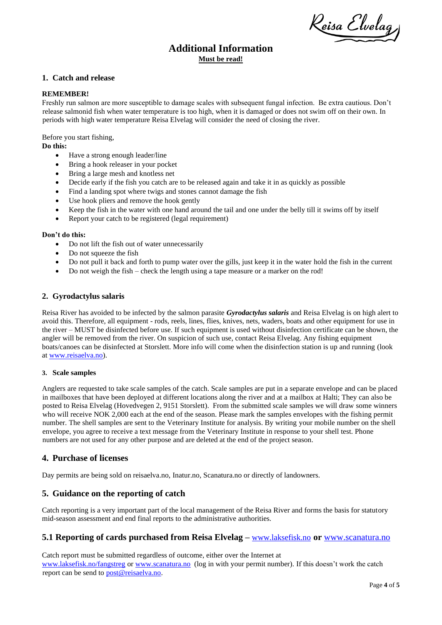Reisa Elvelag

# **Additional Information Must be read!**

#### **1. Catch and release**

#### **REMEMBER!**

Freshly run salmon are more susceptible to damage scales with subsequent fungal infection. Be extra cautious. Don't release salmonid fish when water temperature is too high, when it is damaged or does not swim off on their own. In periods with high water temperature Reisa Elvelag will consider the need of closing the river.

Before you start fishing,

### **Do this:**

- Have a strong enough leader/line
- Bring a hook releaser in your pocket
- Bring a large mesh and knotless net<br>• Decide early if the fish you catch are
- Decide early if the fish you catch are to be released again and take it in as quickly as possible
- Find a landing spot where twigs and stones cannot damage the fish
- Use hook pliers and remove the hook gently
- Keep the fish in the water with one hand around the tail and one under the belly till it swims off by itself
- Report your catch to be registered (legal requirement)

#### **Don't do this:**

- Do not lift the fish out of water unnecessarily
- Do not squeeze the fish
- Do not pull it back and forth to pump water over the gills, just keep it in the water hold the fish in the current
- Do not weigh the fish check the length using a tape measure or a marker on the rod!

#### **2. Gyrodactylus salaris**

Reisa River has avoided to be infected by the salmon parasite *Gyrodactylus salaris* and Reisa Elvelag is on high alert to avoid this. Therefore, all equipment - rods, reels, lines, flies, knives, nets, waders, boats and other equipment for use in the river – MUST be disinfected before use. If such equipment is used without disinfection certificate can be shown, the angler will be removed from the river. On suspicion of such use, contact Reisa Elvelag. Any fishing equipment boats/canoes can be disinfected at Storslett. More info will come when the disinfection station is up and running (look at [www.reisaelva.no\)](http://www.reisaelva.no/).

#### **3. Scale samples**

Anglers are requested to take scale samples of the catch. Scale samples are put in a separate envelope and can be placed in mailboxes that have been deployed at different locations along the river and at a mailbox at Halti; They can also be posted to Reisa Elvelag (Hovedvegen 2, 9151 Storslett). From the submitted scale samples we will draw some winners who will receive NOK 2,000 each at the end of the season. Please mark the samples envelopes with the fishing permit number. The shell samples are sent to the Veterinary Institute for analysis. By writing your mobile number on the shell envelope, you agree to receive a text message from the Veterinary Institute in response to your shell test. Phone numbers are not used for any other purpose and are deleted at the end of the project season.

# **4. Purchase of licenses**

Day permits are being sold on reisaelva.no, Inatur.no, Scanatura.no or directly of landowners.

# **5. Guidance on the reporting of catch**

Catch reporting is a very important part of the local management of the Reisa River and forms the basis for statutory mid-season assessment and end final reports to the administrative authorities.

#### **5.1 Reporting of cards purchased from Reisa Elvelag –** [www.laksefisk.no](http://www.laksefisk.no/) **or** [www.scanatura.no](http://www.scanatura.no/)

Catch report must be submitted regardless of outcome, either over the Internet at [www.laksefisk.no/fangstreg](http://www.laksefisk.no/fangstreg) or [www.scanatura.no](http://www.scanatura.no/) (log in with your permit number). If this doesn't work the catch report can be send to [post@reisaelva.no.](mailto:post@reisaelva.no)